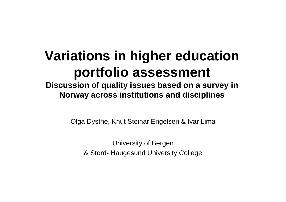## **Variations in higher education portfolio assessment**

**Discussion of quality issues based on a survey in Norway across institutions and disciplines**

Olga Dysthe, Knut Steinar Engels e n & Ivar Lima

University of Bergen & Stord- Haugesund Univ ersity College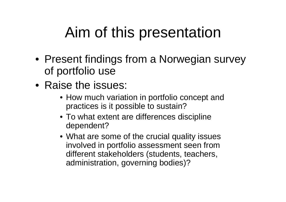# Aim of this presentation

- Present findings from a Norwegian survey of portfolio use
- Raise the issues:
	- How much variation in portfolio concept and practices is it possible to sustain?
	- To what extent are differences discipline dependent?
	- What are some of the crucial quality issues involved in portfolio assessment seen from different stakeholders (students, teachers, administration, governing bodies)?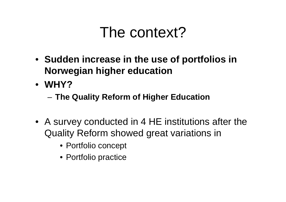## The context?

- **Sudden increase in the use of portfolios in Norwegian higher education**
- **WHY?** 
	- –**The Quality Reform of Higher Education**
- A survey conducted in 4 HE institutions after the Quality Reform showed great variations in
	- Portfolio concept
	- Portfolio practice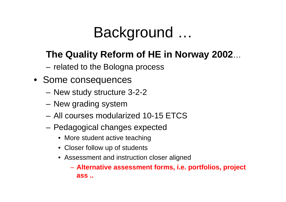### Background …

## **The Quality Reform of HE in Norway 2002** …

- related to the Bologna process
- Some consequences
	- New study structure 3-2-2
	- New grading system
	- All courses modularized 10-15 ETCS
	- Pedagogical changes expected
		- More student active teaching
		- Closer follow up of students
		- Assessment and instruction closer aligned

– **Alternative assessment forms, i.e. portfolios, project ass ..**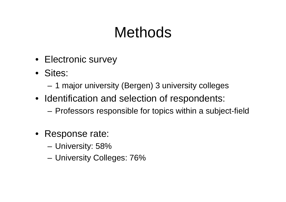# **Methods**

- Electronic survey
- Sites:
	- **Links of the Common** 1 major university (Bergen) 3 university colleges
- Identification and selection of respondents:
	- –Professors responsible for topics within a subject-field
- Response rate:
	- **Links of the Common** University: 58%
	- **Links of the Common** University Colleges: 76%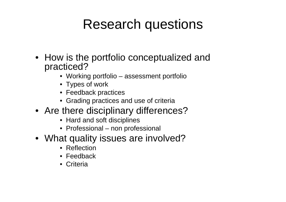## Research questions

- How is the portfolio conceptualized and practiced?
	- Working portfolio assessment portfolio
	- Types of work
	- Feedback practices
	- Grading practices and use of criteria
- Are there disciplinary differences?
	- Hard and soft disciplines
	- Professional non professional
- What quality issues are involved?
	- Reflection
	- Feedback
	- Criteria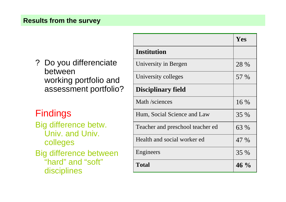### **Results from the survey**

? Do you differenciate betweenworking portfolio and assessment portfolio?

### Findings

Big difference betw. Univ. and Univ. colleges

Big difference between "hard" and "soft" disciplines

|                                  | Yes    |
|----------------------------------|--------|
| <b>Institution</b>               |        |
| University in Bergen             | 28 %   |
| University colleges              | 57 %   |
| <b>Disciplinary field</b>        |        |
| Math /sciences                   | 16 %   |
| Hum, Social Science and Law      | 35 %   |
| Teacher and preschool teacher ed | 63 %   |
| Health and social worker ed      | 47 %   |
| Engineers                        | 35 %   |
| <b>Total</b>                     | $46\%$ |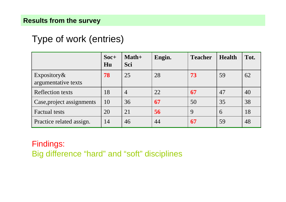### Type of work (entries)

|                                     | $Soc+$<br>Hu | $Math+$<br>Sci | Engin. | <b>Teacher</b> | <b>Health</b> | Tot. |
|-------------------------------------|--------------|----------------|--------|----------------|---------------|------|
| Expository &<br>argumentative texts | 78           | 25             | 28     | 73             | 59            | 62   |
| Reflection texts                    | 18           | $\overline{4}$ | 22     | 67             | 47            | 40   |
| Case, project assignments           | 10           | 36             | 67     | 50             | 35            | 38   |
| <b>Factual tests</b>                | 20           | 21             | 56     | 9              | 6             | 18   |
| Practice related assign.            | 14           | 46             | 44     | 67             | 59            | 48   |

### Findings: Big difference "hard" and "soft" disciplines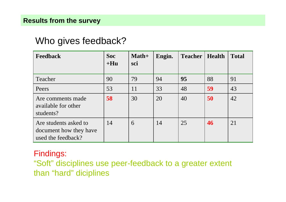### Who gives feedback?

| <b>Feedback</b>                                                       | Soc<br>$+Hu$ | Math+<br>sci | Engin. | <b>Teacher</b> | <b>Health</b> | <b>Total</b> |
|-----------------------------------------------------------------------|--------------|--------------|--------|----------------|---------------|--------------|
| Teacher                                                               | 90           | 79           | 94     | 95             | 88            | 91           |
| Peers                                                                 | 53           | 11           | 33     | 48             | 59            | 43           |
| Are comments made<br>available for other<br>students?                 | 58           | 30           | 20     | 40             | 50            | 42           |
| Are students asked to<br>document how they have<br>used the feedback? | 14           | 6            | 14     | 25             | 46            | 21           |

### Findings:

"Soft" disciplines use peer-feedback to a greater extent than "hard" diciplines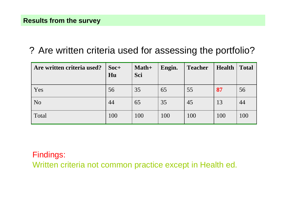### ? Are written criteria used for assessing the portfolio?

| Are written criteria used? | $Soc+$<br>Hu | $Math+$<br>Sci | Engin. | <b>Teacher</b> | <b>Health</b> | <b>Total</b> |
|----------------------------|--------------|----------------|--------|----------------|---------------|--------------|
| Yes                        | 56           | 35             | 65     | 55             | 87            | 56           |
| N <sub>o</sub>             | 44           | 65             | 35     | 45             | 13            | 44           |
| Total                      | 100          | 100            | 100    | 100            | 100           | 100          |

### Findings:

Written criteria not common practice except in Health ed.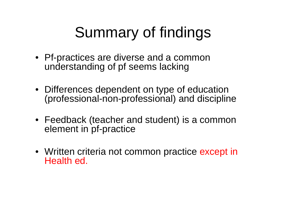# Summary of findings

- Pf-practices are diverse and a common understanding of pf seems lacking
- Differences dependent on type of education (professional-non-professional) and discipline
- Feedback (teacher and student) is a common element in pf-practice
- Written criteria not common practice except in Health ed.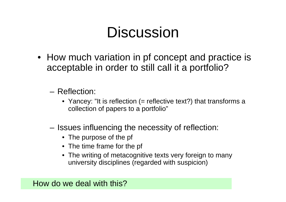# **Discussion**

- How much variation in pf concept and practice is acceptable in order to still call it a portfolio?
	- Reflection:
		- Yancey: "It is reflection (= reflective text?) that transforms <sup>a</sup> collection of papers to a portfolio"
	- $-$  Issues influencing the necessity of reflection:
		- The purpose of the pf
		- The time frame for the pf
		- The writing of metacognitive texts very foreign to many university disciplines (regarded with suspicion)

How do we deal with this?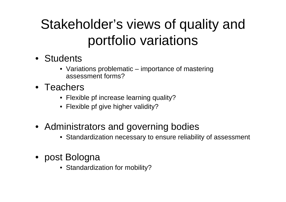# Stakeholder's views of quality and portfolio variations

- Students
	- Variations problematic –– importance of mastering assessment forms?
- Teachers
	- Flexible p f increase learning quality?
	- Flexible p f give higher validity?
- Administrators and governing bodies
	- Standardization necessary to ensure reliability of assessment
- post Bologna
	- Standardization for mobility?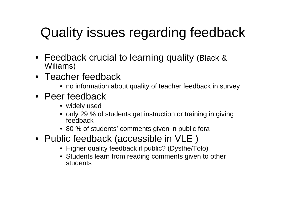# Quality issues regarding feedback

- Feedback crucial to learning quality (Black & Wiliams)
- Teacher feedback
	- no information about quality of teacher feedback in survey
- Peer feedback
	- widely used
	- only 29 % of students get instruction or training in giving feedback
	- 80 % of students' comments given in public fora
- Public feedback (accessible in VLE )
	- Higher quality feedback if public? (Dysthe/Tolo)
	- Students learn from reading comments given to other students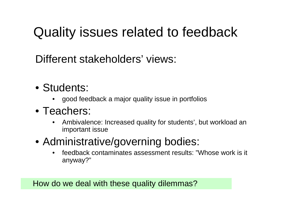# Quality issues related to feedback

Different stakeholders' views:

- Students:
	- •good feedback a major quality issue in portfolios
- Teachers:
	- • Ambivalence: Increased quality for students', but workload an important issue
- Administrative/governing bodies:
	- • feedback contaminates assessment results: "Whose work is it anyway?"

How do we deal with these quality dilemmas?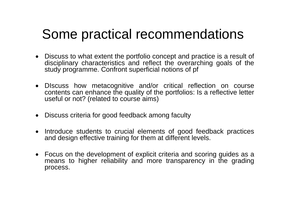## Some practical recommendations

- Discuss to what extent the portfolio concept and practice is a result of disciplinary characteristics and reflect the overarching goals of the study programme. Confront superficial notions of pf
- DIscuss how metacognitive and/or critical reflection on course contents can enhance the quality of the portfolios: Is a reflective letter useful or not? (related to course aims)
- Discuss criteria for good feedback among faculty
- Introduce students to crucial elements of good feedback practices and design effective training for them at different levels.
- Focus on the development of explicit criteria and scoring guides as a means to higher reliability and more transparency in the grading process.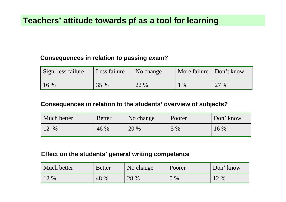### **Teachers' attitude towards pf as a tool for learning**

### **Consequences in relation to passing exam?**

| Sign. less failure | Less failure | $\sqrt{N}$ No change | More failure Don't know |      |
|--------------------|--------------|----------------------|-------------------------|------|
| $16\%$             | 35 %         | 22 %                 | $\%$                    | 27 % |

#### **Consequences in relation to the students' overview of subjects?**

| Much better | <b>Better</b> | No change | Poorer | Don' know |
|-------------|---------------|-----------|--------|-----------|
| $\%$        | 46 %          | 20 %      | $5\%$  | 16 %      |

#### **Effect on the students' general writing competence**

| Much better | <b>Better</b> | No change | Poorer | Don' know |
|-------------|---------------|-----------|--------|-----------|
| $12\%$      | 48 %          | 28 %      | $9\%$  | 12 %      |